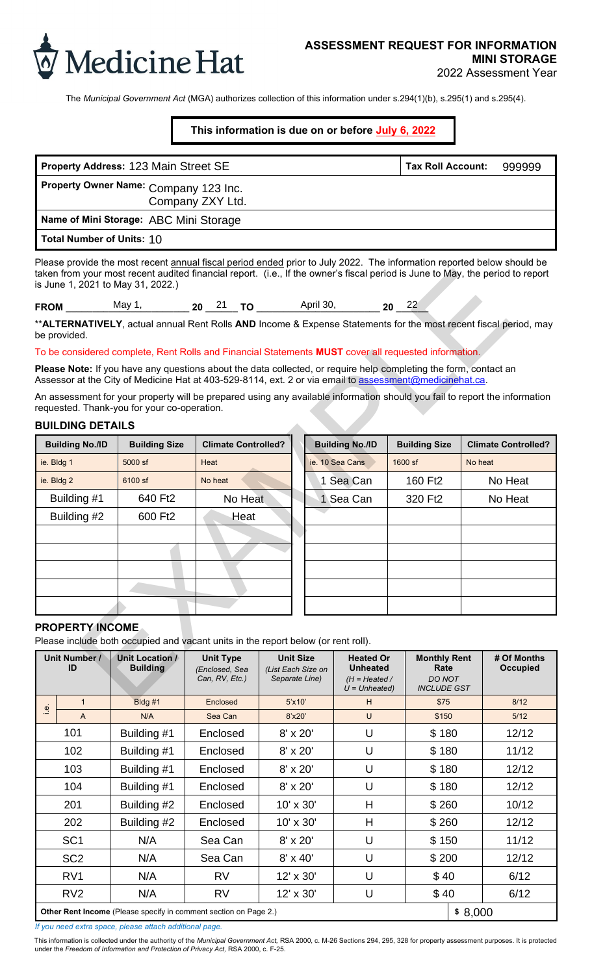

The *Municipal Government Act* (MGA) authorizes collection of this information under s.294(1)(b), s.295(1) and s.295(4).

# **This information is due on or before July 6, 2022**

| Property Address: 123 Main Street SE                      | Tax Roll Account: | 999999 |
|-----------------------------------------------------------|-------------------|--------|
| Property Owner Name: Company 123 Inc.<br>Company ZXY Ltd. |                   |        |
| Name of Mini Storage: ABC Mini Storage                    |                   |        |
| Total Number of Units: 10                                 |                   |        |

### To be considered complete, Rent Rolls and Financial Statements **MUST** cover all requested information.

### **BUILDING DETAILS**

| taken from your most recent audited financial report. (i.e., If the owner's fiscal period is June to May, the period to report<br>is June 1, 2021 to May 31, 2022.)                                                         |                                    |                                                      |         |  |                                                          |                        |                                                                           |                      |                                                                    |                            |                                |  |      |
|-----------------------------------------------------------------------------------------------------------------------------------------------------------------------------------------------------------------------------|------------------------------------|------------------------------------------------------|---------|--|----------------------------------------------------------|------------------------|---------------------------------------------------------------------------|----------------------|--------------------------------------------------------------------|----------------------------|--------------------------------|--|------|
| <b>FROM</b> May 1, 20 $\frac{21}{10}$ TO April 30, 20 $\frac{22}{10}$                                                                                                                                                       |                                    |                                                      |         |  |                                                          |                        |                                                                           |                      |                                                                    |                            |                                |  |      |
| **ALTERNATIVELY, actual annual Rent Rolls AND Income & Expense Statements for the most recent fiscal period, may<br>be provided.                                                                                            |                                    |                                                      |         |  |                                                          |                        |                                                                           |                      |                                                                    |                            |                                |  |      |
| To be considered complete, Rent Rolls and Financial Statements MUST cover all requested information.                                                                                                                        |                                    |                                                      |         |  |                                                          |                        |                                                                           |                      |                                                                    |                            |                                |  |      |
| Please Note: If you have any questions about the data collected, or require help completing the form, contact an<br>Assessor at the City of Medicine Hat at 403-529-8114, ext. 2 or via email to assessment@medicinehat.ca. |                                    |                                                      |         |  |                                                          |                        |                                                                           |                      |                                                                    |                            |                                |  |      |
| An assessment for your property will be prepared using any available information should you fail to report the information<br>requested. Thank-you for your co-operation.                                                   |                                    |                                                      |         |  |                                                          |                        |                                                                           |                      |                                                                    |                            |                                |  |      |
| <b>BUILDING DETAILS</b>                                                                                                                                                                                                     |                                    |                                                      |         |  |                                                          |                        |                                                                           |                      |                                                                    |                            |                                |  |      |
| <b>Building No./ID</b>                                                                                                                                                                                                      | <b>Building Size</b>               | <b>Climate Controlled?</b>                           |         |  |                                                          | <b>Building No./ID</b> |                                                                           | <b>Building Size</b> |                                                                    | <b>Climate Controlled?</b> |                                |  |      |
| ie. Bldg 1                                                                                                                                                                                                                  | 5000 sf                            | Heat                                                 |         |  |                                                          | ie. 10 Sea Cans        |                                                                           | $1600$ sf            | No heat                                                            |                            |                                |  |      |
| ie. Bldg 2                                                                                                                                                                                                                  | 6100 sf                            | No heat                                              |         |  |                                                          | 1 Sea Can              |                                                                           | 160 Ft <sub>2</sub>  |                                                                    | No Heat                    |                                |  |      |
| Building #1                                                                                                                                                                                                                 | 640 Ft2                            |                                                      | No Heat |  |                                                          | 1 Sea Can              |                                                                           | 320 Ft2              |                                                                    | No Heat                    |                                |  |      |
| Building #2                                                                                                                                                                                                                 | 600 Ft2                            | Heat                                                 |         |  |                                                          |                        |                                                                           |                      |                                                                    |                            |                                |  |      |
|                                                                                                                                                                                                                             |                                    |                                                      |         |  |                                                          |                        |                                                                           |                      |                                                                    |                            |                                |  |      |
|                                                                                                                                                                                                                             |                                    |                                                      |         |  |                                                          |                        |                                                                           |                      |                                                                    |                            |                                |  |      |
|                                                                                                                                                                                                                             |                                    |                                                      |         |  |                                                          |                        |                                                                           |                      |                                                                    |                            |                                |  |      |
|                                                                                                                                                                                                                             |                                    |                                                      |         |  |                                                          |                        |                                                                           |                      |                                                                    |                            |                                |  |      |
|                                                                                                                                                                                                                             |                                    |                                                      |         |  |                                                          |                        |                                                                           |                      |                                                                    |                            |                                |  |      |
| <b>PROPERTY INCOME</b>                                                                                                                                                                                                      |                                    |                                                      |         |  |                                                          |                        |                                                                           |                      |                                                                    |                            |                                |  |      |
| Please include both occupied and vacant units in the report below (or rent roll).                                                                                                                                           |                                    |                                                      |         |  |                                                          |                        |                                                                           |                      |                                                                    |                            |                                |  |      |
| <b>Unit Number /</b><br>ID                                                                                                                                                                                                  | Unit Location /<br><b>Building</b> | <b>Unit Type</b><br>(Enclosed, Sea<br>Can, RV, Etc.) |         |  | <b>Unit Size</b><br>(List Each Size on<br>Separate Line) |                        | <b>Heated Or</b><br><b>Unheated</b><br>$(H = Heated /$<br>$U = Unheated)$ |                      | <b>Monthly Rent</b><br>Rate<br><b>DO NOT</b><br><b>INCLUDE GST</b> |                            | # Of Months<br><b>Occupied</b> |  |      |
| $\overline{A}$                                                                                                                                                                                                              | D1.1.1.14                          | <b>Construction</b>                                  |         |  | $\Gamma$ <sup>1</sup> d $\Omega$ <sup>1</sup>            |                        | $\blacksquare$                                                            |                      | ATF                                                                |                            |                                |  | 0140 |

## **PROPERTY INCOME**

|                                                                                                                                                                                                                                                                                               | Property Address: 123 Main Street SE                                        |                                                      |                                                          |                    |                                                                           |         | <b>Tax Roll Account:</b>                                           |         |                                | 999999                     |
|-----------------------------------------------------------------------------------------------------------------------------------------------------------------------------------------------------------------------------------------------------------------------------------------------|-----------------------------------------------------------------------------|------------------------------------------------------|----------------------------------------------------------|--------------------|---------------------------------------------------------------------------|---------|--------------------------------------------------------------------|---------|--------------------------------|----------------------------|
| Property Owner Name: Company 123 Inc.<br>Company ZXY Ltd.                                                                                                                                                                                                                                     |                                                                             |                                                      |                                                          |                    |                                                                           |         |                                                                    |         |                                |                            |
| Name of Mini Storage: ABC Mini Storage                                                                                                                                                                                                                                                        |                                                                             |                                                      |                                                          |                    |                                                                           |         |                                                                    |         |                                |                            |
| <b>Total Number of Units: 10</b>                                                                                                                                                                                                                                                              |                                                                             |                                                      |                                                          |                    |                                                                           |         |                                                                    |         |                                |                            |
| Please provide the most recent annual fiscal period ended prior to July 2022. The information reported below should be<br>taken from your most recent audited financial report. (i.e., If the owner's fiscal period is June to May, the period to report<br>is June 1, 2021 to May 31, 2022.) |                                                                             |                                                      |                                                          |                    |                                                                           |         |                                                                    |         |                                |                            |
|                                                                                                                                                                                                                                                                                               |                                                                             |                                                      |                                                          |                    |                                                                           |         |                                                                    |         |                                |                            |
| ** ALTERNATIVELY, actual annual Rent Rolls AND Income & Expense Statements for the most recent fiscal period, may<br>be provided.                                                                                                                                                             |                                                                             |                                                      |                                                          |                    |                                                                           |         |                                                                    |         |                                |                            |
| To be considered complete, Rent Rolls and Financial Statements MUST cover all requested information.                                                                                                                                                                                          |                                                                             |                                                      |                                                          |                    |                                                                           |         |                                                                    |         |                                |                            |
| Please Note: If you have any questions about the data collected, or require help completing the form, contact an<br>Assessor at the City of Medicine Hat at 403-529-8114, ext. 2 or via email to assessment@medicinehat.ca.                                                                   |                                                                             |                                                      |                                                          |                    |                                                                           |         |                                                                    |         |                                |                            |
| An assessment for your property will be prepared using any available information should you fail to report the information<br>requested. Thank-you for your co-operation.<br><b>BUILDING DETAILS</b>                                                                                          |                                                                             |                                                      |                                                          |                    |                                                                           |         |                                                                    |         |                                |                            |
| <b>Building No./ID</b>                                                                                                                                                                                                                                                                        | <b>Building Size</b>                                                        | <b>Climate Controlled?</b>                           |                                                          |                    | <b>Building No./ID</b>                                                    |         | <b>Building Size</b>                                               |         |                                | <b>Climate Controlled?</b> |
| ie. Bldg 1                                                                                                                                                                                                                                                                                    | 5000 sf                                                                     | Heat                                                 |                                                          |                    | ie. 10 Sea Cans                                                           | 1600 sf |                                                                    | No heat |                                |                            |
| ie. Bldg 2                                                                                                                                                                                                                                                                                    | 6100 sf                                                                     | No heat                                              |                                                          |                    | 1 Sea Can                                                                 |         | 160 Ft <sub>2</sub>                                                |         |                                | No Heat                    |
| Building #1                                                                                                                                                                                                                                                                                   | 640 Ft2                                                                     | No Heat                                              |                                                          |                    | 1 Sea Can                                                                 | 320 Ft2 |                                                                    |         |                                | No Heat                    |
| Building #2                                                                                                                                                                                                                                                                                   | 600 Ft2                                                                     | Heat                                                 |                                                          |                    |                                                                           |         |                                                                    |         |                                |                            |
|                                                                                                                                                                                                                                                                                               |                                                                             |                                                      |                                                          |                    |                                                                           |         |                                                                    |         |                                |                            |
|                                                                                                                                                                                                                                                                                               |                                                                             |                                                      |                                                          |                    |                                                                           |         |                                                                    |         |                                |                            |
|                                                                                                                                                                                                                                                                                               |                                                                             |                                                      |                                                          |                    |                                                                           |         |                                                                    |         |                                |                            |
|                                                                                                                                                                                                                                                                                               |                                                                             |                                                      |                                                          |                    |                                                                           |         |                                                                    |         |                                |                            |
|                                                                                                                                                                                                                                                                                               |                                                                             |                                                      |                                                          |                    |                                                                           |         |                                                                    |         |                                |                            |
| <b>PROPERTY INCOME</b><br>Please include both occupied and vacant units in the report below (or rent roll).                                                                                                                                                                                   |                                                                             |                                                      |                                                          |                    |                                                                           |         |                                                                    |         |                                |                            |
| <b>Unit Number /</b><br>ID                                                                                                                                                                                                                                                                    | Unit Location /<br><b>Building</b>                                          | <b>Unit Type</b><br>(Enclosed, Sea<br>Can, RV, Etc.) | <b>Unit Size</b><br>(List Each Size on<br>Separate Line) |                    | <b>Heated Or</b><br><b>Unheated</b><br>$(H = Heated /$<br>$U = Unheated)$ |         | <b>Monthly Rent</b><br>Rate<br><b>DO NOT</b><br><b>INCLUDE GST</b> |         | # Of Months<br><b>Occupied</b> |                            |
| $\mathbf{1}$<br>$\stackrel{\bullet}{=}$                                                                                                                                                                                                                                                       | Bldg #1                                                                     | Enclosed                                             |                                                          | $5'$ x10'          | H                                                                         | \$75    |                                                                    |         |                                | 8/12                       |
| A<br>101                                                                                                                                                                                                                                                                                      | N/A<br>Building #1                                                          | Sea Can<br>Enclosed                                  |                                                          | 8'x20'<br>8' x 20' | $\cup$                                                                    |         | \$150                                                              |         |                                | $5/12$<br>12/12            |
| 102                                                                                                                                                                                                                                                                                           | Building #1                                                                 | Enclosed                                             |                                                          | $8' \times 20'$    | U<br>U                                                                    |         | \$180<br>\$180                                                     |         |                                | 11/12                      |
| 103                                                                                                                                                                                                                                                                                           | Building #1                                                                 | Enclosed                                             |                                                          | 8' x 20'           | U                                                                         |         | \$180                                                              |         |                                | 12/12                      |
| 104                                                                                                                                                                                                                                                                                           | Building #1                                                                 | Enclosed                                             |                                                          | 8' x 20'           | U                                                                         |         | \$180                                                              |         |                                | 12/12                      |
| 201                                                                                                                                                                                                                                                                                           | Building #2                                                                 | Enclosed                                             |                                                          | 10' x 30'          | H                                                                         |         | \$260                                                              |         |                                | 10/12                      |
| 202                                                                                                                                                                                                                                                                                           | Building #2                                                                 | Enclosed                                             |                                                          | 10' x 30'          | H                                                                         |         | \$260                                                              |         |                                | 12/12                      |
| SC <sub>1</sub>                                                                                                                                                                                                                                                                               | N/A                                                                         | Sea Can                                              |                                                          | 8' x 20'           | U                                                                         |         | \$150                                                              |         | 11/12                          |                            |
| SC <sub>2</sub>                                                                                                                                                                                                                                                                               | N/A                                                                         | Sea Can                                              |                                                          | $8' \times 40'$    | U                                                                         |         | \$200                                                              |         | 12/12                          |                            |
| RV <sub>1</sub>                                                                                                                                                                                                                                                                               | N/A                                                                         | <b>RV</b>                                            |                                                          | 12' x 30'          | U                                                                         |         | \$40                                                               |         |                                | 6/12                       |
| R <sub>V</sub> 2                                                                                                                                                                                                                                                                              | N/A                                                                         | <b>RV</b>                                            |                                                          | 12' x 30'          | U                                                                         |         | \$40                                                               |         |                                | 6/12                       |
|                                                                                                                                                                                                                                                                                               | Other Rent Income (Please specify in comment section on Page 2.)<br>\$8,000 |                                                      |                                                          |                    |                                                                           |         |                                                                    |         |                                |                            |

*If you need extra space, please attach additional page.* 

This information is collected under the authority of the *Municipal Government Act,* RSA 2000, c. M-26 Sections 294, 295, 328 for property assessment purposes. It is protected under the *Freedom of Information and Protection of Privacy Act,* RSA 2000, c. F-25.